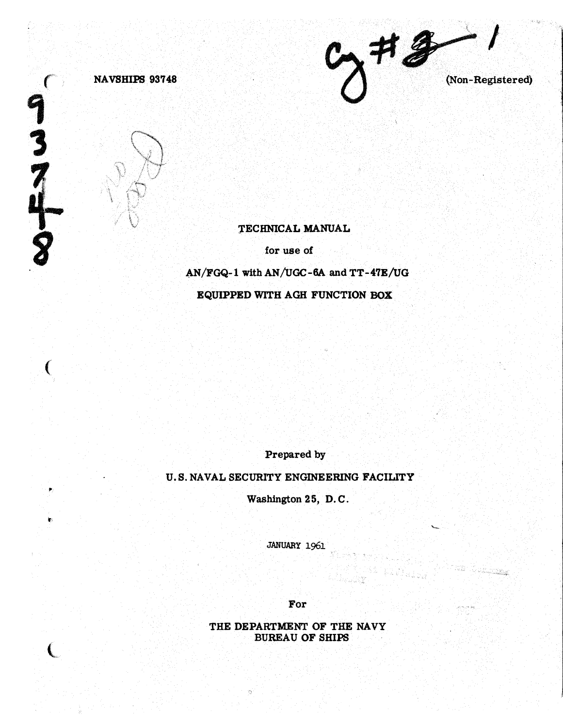



 $\frac{9}{3}$ 

'n.

## TECHNICAL MANUAL

for use of

AN/FGQ-1 with AN/UGC-6A and TT-47E/UG

EQUIPPED WITH AGH FUNCTION BOX

Prepared by

U.S. NAVAL SECURITY ENGINEERING FACILITY

Washington 25, D.C.

JANUARY 1961

For

THE DEPARTMENT OF THE NAVY **BUREAU OF SHIPS** 

 $9772$ (Non-Registered)

e 1942 Queens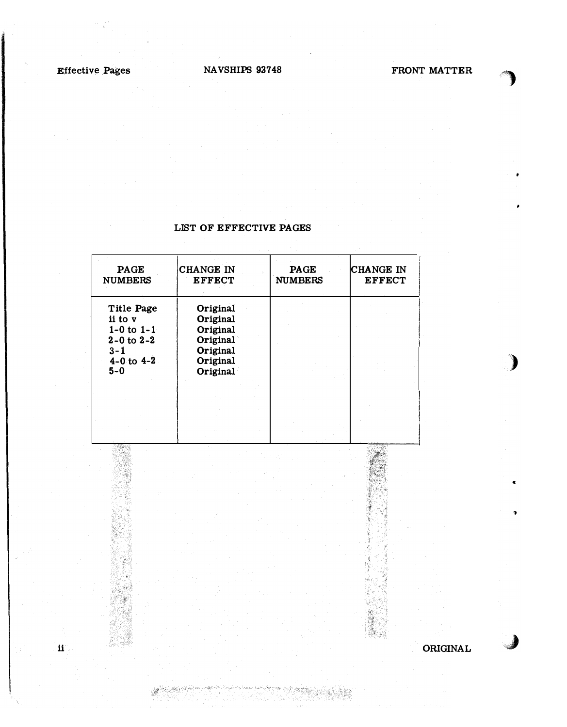ii

أباد المراكبة وأبداد S.

## NAVSHIPS 937 48

.')

)

 $\epsilon$ 

"

,J

## LIST OF EFFECTIVE PAGES

| <b>PAGE</b><br><b>NUMBERS</b>                                                                             | <b>CHANGE IN</b><br><b>EFFECT</b>                                                | <b>PAGE</b><br><b>NUMBERS</b> | ICHANGE IN<br><b>EFFECT</b> |
|-----------------------------------------------------------------------------------------------------------|----------------------------------------------------------------------------------|-------------------------------|-----------------------------|
| Title Page<br>ii to v<br>$1-0$ to $1-1$<br>$2 - 0$ to $2 - 2$<br>$3 - 1$<br>$4 - 0$ to $4 - 2$<br>$5 - 0$ | Original<br>Original<br>Original<br>Original<br>Original<br>Original<br>Original |                               |                             |
|                                                                                                           |                                                                                  |                               |                             |

ORIGINAL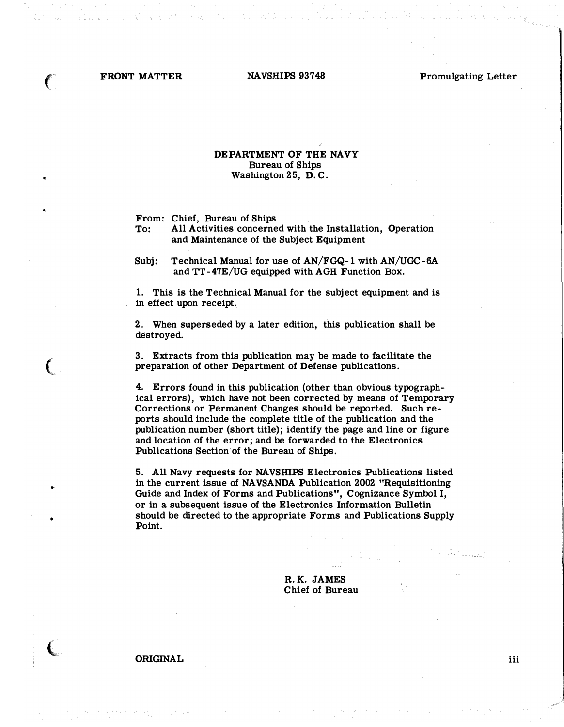$\epsilon$ 

(

•

 $\big($ 

FRONT MATTER NAVSHIPS 93748 Promulgating Letter

## DEPARTMENT OF THE NAVY Bureau of Ships Washington 25, D.C.

From: Chief, Bureau of Ships

To: All Activities concerned with the Installation, Operation and Maintenance of the Subject Equipment

Subj: Technical Manual for use of AN/FGQ-1 with AN/UGC-6A and TT-47E/UG equipped with AGH Function Box.

1. This is the Technical Manual for the subject equipment and is in effect upon receipt.

2. When superseded by a later edition, this publication shall be destroyed.

3. Extracts from this publication may be made to facilitate the preparation of other Department of Defense publications.

4. Errors found in this publication (other than obvious typographical errors), which have not been corrected by means of Temporary Corrections or Permanent Changes should be reported. Such reports should include the complete title of the publication and the publication number (short title); identify the page and line or figure and location of the error; and be forwarded to the Electronics Publications Section'of the Bureau of Ships.

5. All Navy requests for NA VSHIPS Electronics Publications listed in the current issue of NAVSANDA Publication 2002 "Requisitioning Guide and Index of Forms and Publications", Cognizance Symbol I, or in a subsequent issue of the Electronics Information Bulletin should be directed to the appropriate Forms and Publications Supply Point.

> R.K. JAMES Chief of Bureau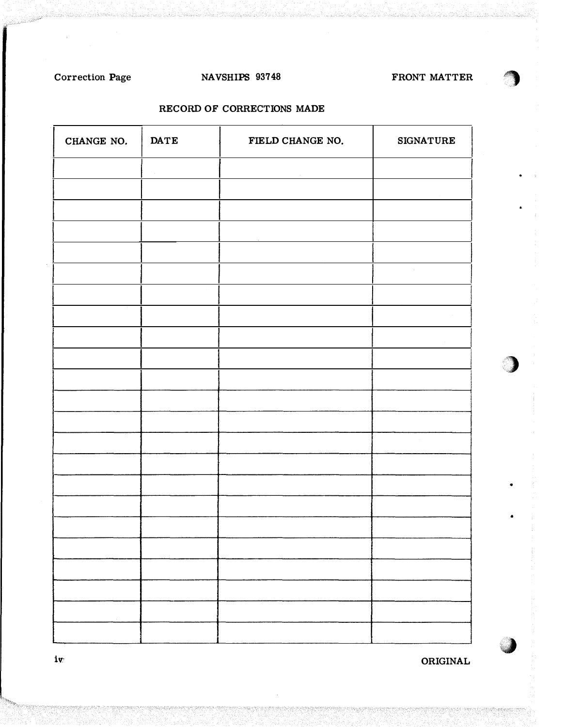# Correction Page

# NAVSHIPS 93748

FRONT MATTER

# RECORD OF CORRECTIONS MADE

| CHANGE NO. | $\mathbf{DATE}$<br>FIELD CHANGE NO. |  | <b>SIGNATURE</b> |  |
|------------|-------------------------------------|--|------------------|--|
|            |                                     |  |                  |  |
|            |                                     |  |                  |  |
|            |                                     |  |                  |  |
|            |                                     |  |                  |  |
|            |                                     |  | $\alpha$         |  |
|            | $\mathcal{A}$                       |  |                  |  |
|            |                                     |  |                  |  |
|            |                                     |  |                  |  |
|            |                                     |  |                  |  |
|            |                                     |  |                  |  |
|            |                                     |  |                  |  |
|            |                                     |  |                  |  |
|            |                                     |  |                  |  |
|            |                                     |  |                  |  |
|            |                                     |  |                  |  |
|            |                                     |  |                  |  |
|            |                                     |  |                  |  |
|            |                                     |  |                  |  |
|            |                                     |  |                  |  |
|            |                                     |  |                  |  |

ORIGINAL

 $iv$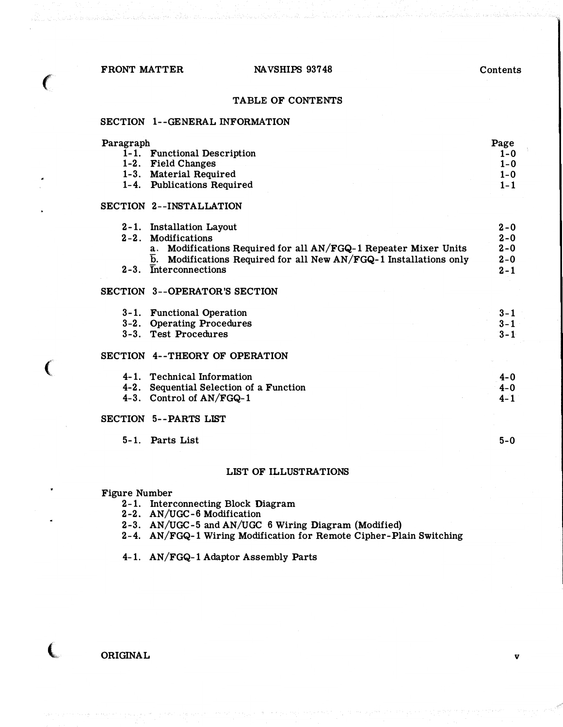FRONT MATTER NAVSHIPS 93748

€

€

€

## Contents

## TABLE OF CONTENTS

### SECTION !--GENERAL INFORMATION

| Paragraph                   | Page         |
|-----------------------------|--------------|
| 1-1. Functional Description | $1 - 0$      |
| 1-2. Field Changes          | $1 - 0$      |
| 1-3. Material Required      | $1 - \Omega$ |
| 1-4. Publications Required  | $1 - 1$      |

## SECTION 2--INSTALLATION

|           | 2-1. Installation Layout                                                        | $2 - 0$ |
|-----------|---------------------------------------------------------------------------------|---------|
|           | 2-2. Modifications                                                              | $2 - 0$ |
|           | a. Modifications Required for all AN/FGQ-1 Repeater Mixer Units                 | $2 - 0$ |
|           | $\overline{b}$ . Modifications Required for all New AN/FGQ-1 Installations only | $2 - 0$ |
| $2 - 3$ . | <b>Interconnections</b>                                                         | $2 - 1$ |
|           | SECTION 3--OPERATOR'S SECTION                                                   |         |

| 3-1. Functional Operation<br>3-2. Operating Procedures | $3 - 1$<br>$3 - 1$ |
|--------------------------------------------------------|--------------------|
| 3-3. Test Procedures                                   | $3 - 1$            |
| SECTION 4--THEORY OF OPERATION                         |                    |

| 4-1. Technical Information              | $4 - 0$ |
|-----------------------------------------|---------|
| 4-2. Sequential Selection of a Function | $4 - 0$ |
| 4-3. Control of $AN/FGQ-1$              | $4 - 1$ |

## SECTION 5--PARTS LIST

5-l. Parts List

## LIST OF ILLUSTRATIONS

Figure Number

- 2-1. Interconnecting Block Diagram
- 2-2. AN/UGC-6 Modification
- 2-3. AN/UGC-5 and AN/UGC 6 Wiring Diagram (Modified)
- 2-4. AN/FGQ-1 Wiring Modification for Remote Cipher-Plain Switching

4-1. AN/FGQ-1 Adaptor Assembly Parts

ORIGINAL

5-0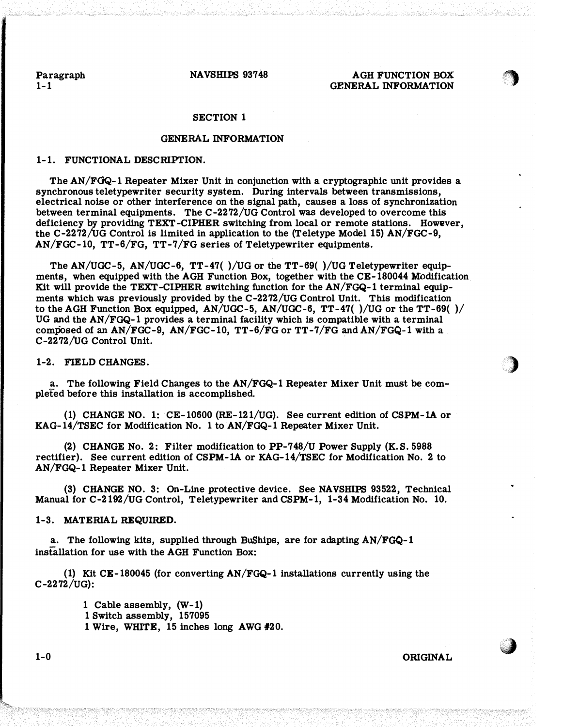Paragraph  $1 - 1$ 

NAVSHIPS 93748

## AGH FUNCTION BOX GENERAL INFORMATION

### SECTION 1

## GENERAL INFORMATION

### 1-1. FUNCTIONAL DESCRIPriON.

The AN/FOQ-1 Repeater Mixer Unit in conjunction with a cryptographic unit provides a synchronous teletypewriter security system. During intervals between transmissions, electrical noise or other interference on the signal path, causes a loss of synchronization between terminal equipments. The C-2272/UG Control was developed to overcome this deficiency by providing TEXT-CIPHER switching from local or remote stations. However, the C-2272/UG Control is limited in application to the (Teletype Model 15) AN/FGC-9, AN/FGC-10, TT-6/FG, TT-7/FG series of Teletypewriter equipments.

The AN/UGC-5, AN/UGC-6, TT-47( )/UG or the TT-69( )/UG Teletypewriter equipmenta, when equipped with the AGH Function Box, together with the CE-180044 Modification Kit will provide the TEXT-CIPHER switching function for the AN/FGQ-1 terminal equipmenta which was previously provided by the C-2272/UG Control Unit. This modification to the AGH Function Box equipped, AN/UGC-5, AN/UGC-6, TT-47( )/UG or the TT-69( )/ UG and the AN/FGQ-1 provides a terminal facility which is compatible with a terminal composed of an  $AN/FGC-9$ ,  $AN/FGC-10$ ,  $TT-6/FG$  or  $TT-7/FG$  and  $AN/FGQ-1$  with a  $C-2272/UG$  Control Unit.

## 1-2. FIELD CHANGES.

a. The following Field Changes to the AN/FGQ-1 Repeater Mixer Unit must be completed before this installation is accomplished.

(1) CHANGE NO. 1: CE-10600 (RE-121/UG). See current edition of CSPM-lA or KAG-14/TSEC for Modification No. 1 to AN/FGQ-1 Repeater Mixer Unit.

(2) CHANGE No. 2: Filter modification to PP-748/U Power Supply (K.S. 5988 rectifier). See current edition of CSPM-lA or KAG-14/TSEC for Modification No. 2 to AN/FGQ-1 Repeater Mixer Unit.

(3) CHANGE NO. 3: On-Line protective device. See NAVSHIPS 93522, Technical Manual for C-2192/UG Control, Teletypewriter and CSPM-1, 1-34 Modification No. 10.

### 1-3. MATERIAL REQUIRED.

a. The following kits, supplied through BuShips, are for adapting AN/FGQ-1 installation for use with the AGH Function Box:

(1) Kit CE-180045 (for converting AN/FGQ-1 installations currently using the C-2272/UG):

> 1 Cable assembly, (W-1) 1 Switch assembly, 157095 1 Wire, WHITE, 15 inches long AWG #20.

1-0 ORIGINAL

 $\blacksquare$ 

·�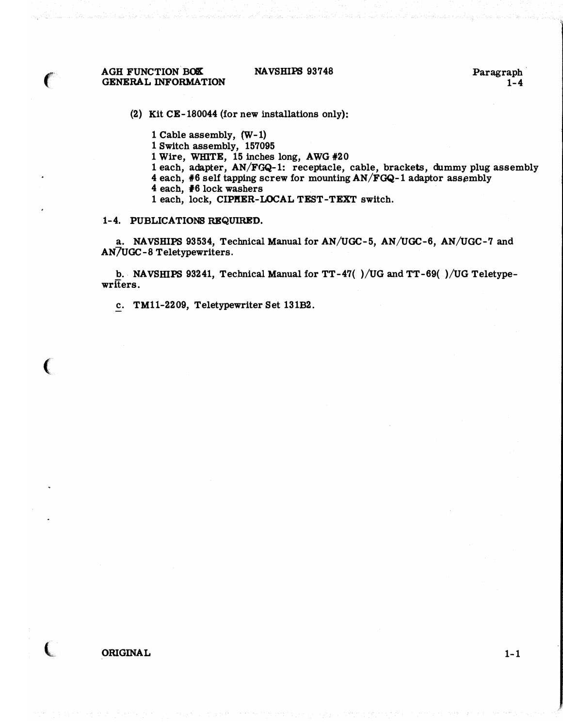**AGH FUNCTION BOX** GENERAL INFORMATION

 $\epsilon$ 

 $\big($ 

 $\overline{\mathbb{C}}$ 

## NAVSHIPS 93748

Paragraph·  $1 - 4$ 

(2) Kit CE-180044 (for new installations only):

1 Cable assembly, (W-1)

1 Switch assembly, 157095

1 Wire, wmTE, 15 inches long, AWG #20

1 each, adapter, AN/FGQ-1: receptacle, cable, brackets, dummy plug assembly

4 each,  $#6$  self tapping screw for mounting  $AN/FGQ-1$  adaptor assembly

- 4 each, #6 lock washers
- 1 each, lock, CIPHER-LOCAL TEST-TEXT switch.

### 1-4. PUBLICATIONS REQUIRED.

a. NAVSHIPS 93534, Technical Manual for AN/UGC-5, AN/UGC-6, AN/UGC-7 and AN7UGC-8 Teletypewriters.

b. NAVSHIPS 93241, Technical Manual for TT-47( )/UG and TT-69( )/UG Teletypewriters.

c. TM11-2209, Teletypewriter Set 131B2.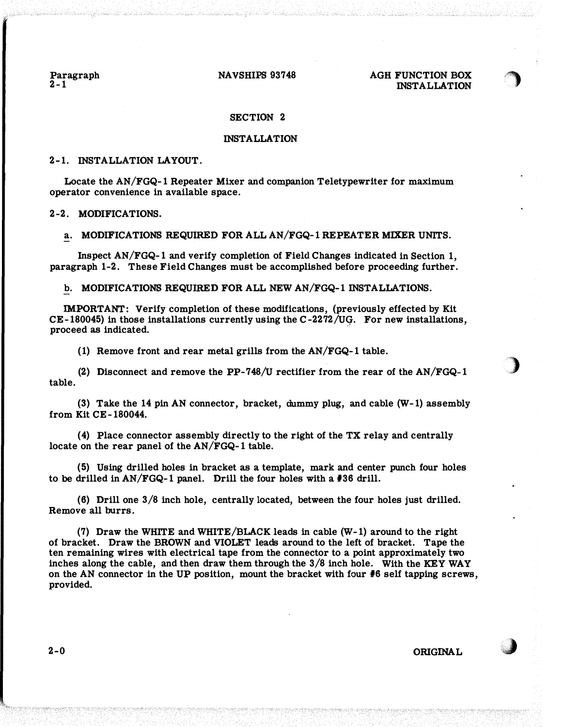Paragraph  $2 - 1$ 

### NAVSHIPS 93748

## AGH FUNCTION BOX INSTALLATION

")

)

J

### SECTION 2

### INSTALLATION

### 2-1. INSTALLATION LAYOUT.

Locate the AN/FGQ-1 Repeater Mixer and companion Teletypewriter for maximum operator convenience in available space.

### 2-2. MODIFICATIONS.

### a. MODIFICATIONS REQUIRED FOR ALL AN/FGQ-1 REPEATER MIXER UNITS.

Inspect AN/FGQ-1 and verify completion of Field Changes indicated in Section 1, paragraph 1-2. These Field Changes must be accomplished before proceeding further.

b. MODIFICATIONS REQUIRED FOR ALL NEW AN/FGQ-1 INSTALLATIONS.

IMPORTANT: Verify completion of these modifications, (previously effected by Kit CE-180045) in those installations currently using the C-2272/UG. For new installations,<br>proceed as indicated.

(1) Remove front and rear metal grills from the AN/FGQ-1 table.

(2) Disconnect and remove the PP-748/U rectifier from the rear of the  $AN/FGQ-1$ table.

(3) Take the 14 pin AN connector, bracket, dummy plug, and cable (W-1) assembly from Kit CE-180044.

( 4) Place connector assembly directly to the right of the TX relay and centrally locate on the rear panel of the AN/FGQ-1 table.

(5) Using drilled holes in bracket as a template, mark and center punch four holes to be drilled in AN/FGQ-1 panel. Drill the four holes with a #36 drill.

(6) Drill one 3/8 inch hole, centrally located, between the four holes just drilled. Remove all burrs.

(7) Draw the WHITE and WHITE/BLACK leads in cable (W-1) around to the right of bracket. Draw the BROWN and VIOLET leads around to the left of bracket. Tape the ten remaining wires with electrical tape from the connector to a point approximately two inches along the cable, and then draw them through the  $3/8$  inch hole. With the KEY WAY on the AN connector in the UP position, mount the bracket with four #6 self tapping screws, provided.

 $2-0$  ORIGINAL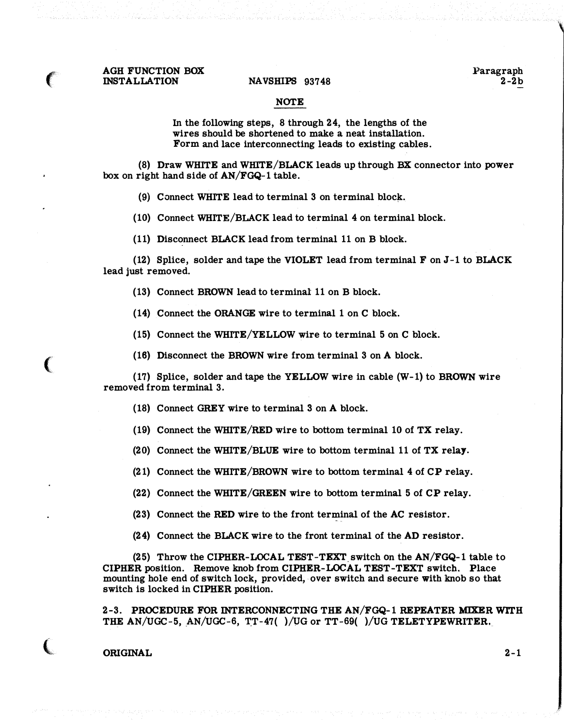### NOTE

In the following steps, 8 through 24, the lengths of the wires should be shortened to make a neat installation. Form and lace interconnecting leads to existing cables.

(8) Draw WHITE and WHITE/BLACK leads up through BX connector into power box on right hand side of AN/FGQ-1 table.

(9) Connect WHITE lead to terminal 3 on terminal block.

(10) Connect WHITE/BLACK lead to terminal 4 on terminal block.

(11) Disconnect BLACK lead from terminal 11 on B block.

(12) Splice, solder and tape the VIOLET lead from terminal F on J-1 to BLACK lead just removed.

(13) Connect BROWN lead to terminal 11 on B block.

(14) Connect the ORANGE wire to terminal 1 on C block.

(15) Connect the WHITE/YELLOW wire to terminal 5 on C block.

(16) Disconnect the BROWN wire from terminal 3 on A block.

(17) Splice, solder and tape the YELLOW wire in cable  $(W-1)$  to BROWN wire removed from terminal 3.

(18) Connect GREY wire to terminal  $3$  on  $A$  block.

(19) Connect the WHITE/RED wire to bottom terminal 10 of TX relay.

(20) Connect the WHITE/BLUE wire to bottom terminal 11 of TX relay.

(21) Connect the WHITE/BROWN wire to bottom terminal 4 of CP relay.

(22) Connect the WHITE/GREEN wire to bottom terminal 5 of CP relay.

(23) Connect the RED wire to the front terminal of the AC resistor.

(24) Connect the BLACK wire to the front terminal of the AD resistor.

(25) Throw the CIPHER-LOCAL TEST-TEXT switch on the  $AN/FGQ-1$  table to CIPHER position. Remove knob from CIPHER-LOCAL TEST- TEXT switch. Place mounting hole end of switch lock, provided, over switch and secure with knob so that switch is locked in CIPHER position.

2-3 . PROCEDURE FOR INTERCONNECTING THE AN/FGQ-1 REPEATER MIXER WITH THE AN/UGC-5, AN/UGC-6, TT-47( )/UG or TT-69( )/UG TELETYPEWRITER.

ORIGINAL 2-1

 $\big($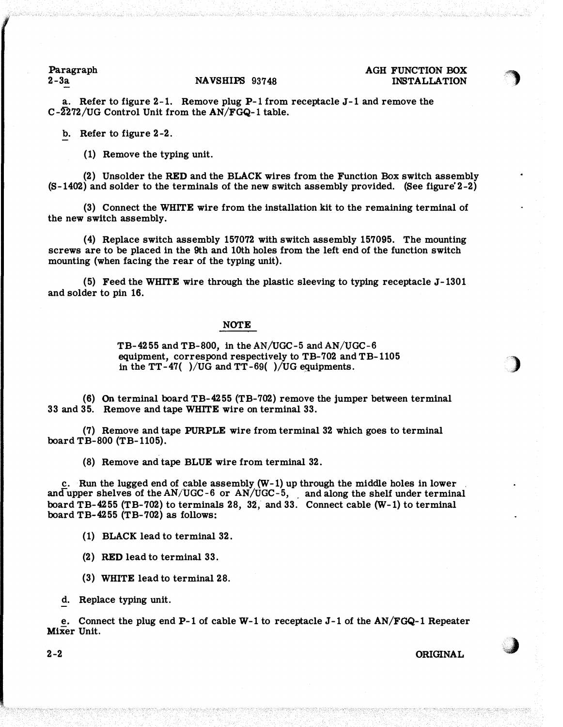Paragraph

### 2-3a NAVSHIPS 93748

## AGH FUNCTION BOX INSTALLATION

')

)

. **A** 

a. Refer to figure  $2-1$ . Remove plug  $P-1$  from receptacle J-1 and remove the C-2272/UG Control Unit from the AN/FGQ-1 table.

b. Refer to figure 2-2.

(1) Remove the typing unit.

(2) Unsolder the RED and the BLACK wires from the Function Box switch assembly  $(S-1402)$  and solder to the terminals of the new switch assembly provided. (See figure 2-2)

(3) Connect the WHITE wire from the installation kit to the remaining terminal of the new switch assembly.

(4) Replace switch assembly 157072 with switch assembly 157095. The mounting screws are to be placed in the 9th and lOth holes from the left end of the function switch mounting (when facing the rear of the typing unit).

(5) Feed the WHITE wire through the plastic sleeving to typing receptacle  $J-1301$ and solder to pin 16.

## **NOTE**

TB-4255 and TB-800, in the AN/UGC-5 and AN/VGC-6 equipment, correspond respectively to TB-702 and TB-1105 in the  $TT-47$ ( )/UG and  $TT-69$ ( )/UG equipments.

(6) On terminal board TB-4255 (TB-702) remove the jumper between terminal 33 and 35. Remove and tape WHITE wire on terminal 33.

(7) Remove and tape PURPLE wire from terminal 32 which goes to terminal board TB-800 (TB-1105).

(8) Remove and tape BLUE wire from terminal 32.

c. Run the lugged end of cable assembly (W-1) up through the middle holes in lower and upper shelves of the  $AN/UGC-6$  or  $AN/UGC-5$ , and along the shelf under terminal board TB-4255 (TB-702) to terminals 28, 32, and 33. Connect cable (W-1) to terminal board TB-4255 (TB-702) as follows:

(1) BLACK lead to terminal 32.

(2) RED lead to terminal 33.

(3) WHITE lead to terminal 28.

d. Replace typing unit.

e. Connect the plug end P-1 of cable W-1 to receptacle J-1 of the AN/FGQ-1 Repeater MiXer Unit.

2-2 ORIGINAL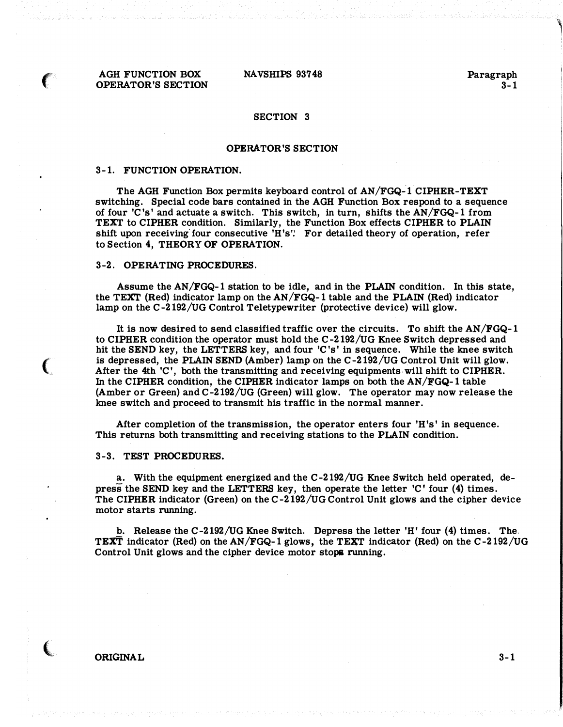AGH FUNCTION BOX OPERATOR'S SECTION

 $\mathcal{L}$ 

 $\epsilon$ 

(

NAVSHIPS 93748

Paragraph  $3 - 1$  ,

## SECTION 3

### OPERATOR'S SECTION

### 3-1. FUNCTION OPERATION.

The AGH Function Box permits keyboard control of AN/FGQ-1 CIPHER-TEXT switching. Special code bars contained in the AGH Function Box respond to a sequence of four 'C's' and actuate a switch. This switch, in turn, shifts the AN/FGQ-1 from TEXT to CIPHER condition. Similarly, the Function Box effects CIPHER to PLAIN shift upon receiving four consecutive 'H's': For detailed theory of operation, refer to Section 4, THEORY OF OPERATION.

## 3-2. OPERATING PROCEDURES.

Assume the AN/FGQ-1 station to be idle, and in the PLAIN condition. In this state, the TEXT (Red) indicator lamp on the AN/FGQ-1 table and the PLAIN (Red) indicator lamp on the C-2192/UG Control Teletypewriter (protective device) will glow.

It is now desired to send classified traffic over the circuits. To shift the AN/FGQ-1 to CIPHER condition the operator must hold the C -2192 /UG Knee Switch depressed and hit the SEND key, the LETTERS key, and four 'C's' in sequence. While the knee switch is depressed, the PLAIN SEND (Amber) lamp on the C-2192/UG Control Unit will glow. After the 4th 'C', both the transmitting and receiving equipments will shift to CIPHER. In the CIPHER condition, the CIPHER indicator lamps on both the AN/FGQ-1 table (Amber or Green) and C-2192/UG (Green) will glow. The operator may now release the knee switch and proceed to transmit his traffic in the normal manner.

After completion of the transmission, the operator enters four 'H's' in sequence. This returns both transmitting and receiving stations to the PLAIN condition.

## 3-3. TEST PROCEDURES.

a. With the equipment energized and the C-2192/UG Knee Switch held operated, depress the SEND key and the LETTERS key, then operate the letter 'C' four (4) times. The CIPHER indicator (Green) on the C-2192/UG Control Unit glows and the cipher device motor starts running.

b. Release the C-2192/UG Knee Switch. Depress the letter 'H' four (4) times. The TEXT indicator (Red) on the AN/FGQ-1 glows, the TEXT indicator (Red) on the  $C-2192/UG$ Control Unit glows and the cipher device motor stops running.

ORIGINAL 3-1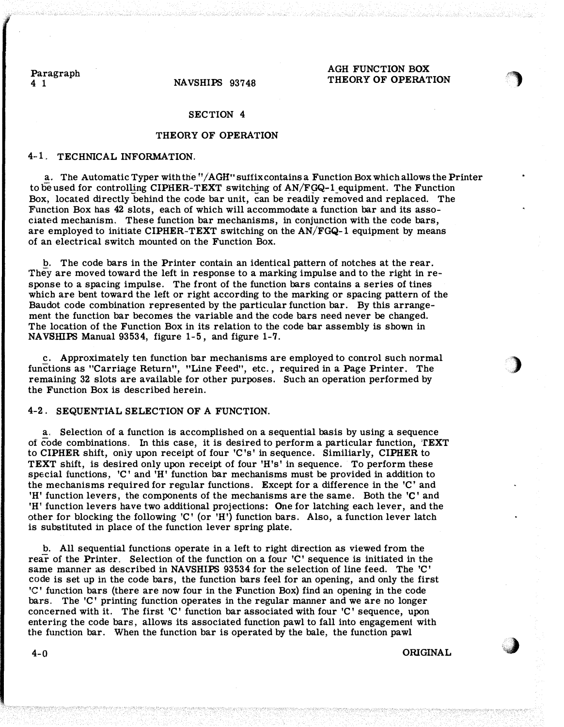Paragraph<br>4 1

## AGH FUNCTION BOX THEORY OF OPERATION

 $\sqrt{2}$ 

)

\*�

# NAVSHIPS 93748

### SECTION 4

## THEORY OF OPERATION

## 4-1. TECHNICAL INFORMATION.

a. The Automatic Typer with the "/AGH" suffix contains a Function Box which allows the Printer to be used for controlling CIPHER-TEXT switching of  $AN/FGQ-1$  equipment. The Function Box, located directly behind the code bar unit, can be readily removed and replaced. The Function Box has 42 slots, each of which will accommodate a function bar and its associated mechanism. These function bar mechanisms, in conjunction with the code bars, are employed to initiate CIPHER-TEXT switching on the  $AN/FGQ-1$  equipment by means of an electrical switch mounted on the Function Box.

b. The code bars in the Printer contain an identical pattern of notches at the rear. They are moved toward the left in response to a marking impulse and to the right in response to a spacing impulse. The front of the function bars contains a series of tines which are bent toward the left or right according to the marking or spacing pattern of the Baudot code combination represented by the particular function bar. By this arrangement the function bar becomes the variable and the code bars need never be changed. The location of the Function Box in its relation to the code bar assembly is shown in NAVSHIPS Manual 93534, figure 1-5, and figure 1-7.

c. Approximately ten function bar mechanisms are employed to control such normal functions as "Carriage Return", "Line Feed", etc., required in a Page Printer. The remaining 32 slots are available for other purposes. Such an operation performed by the Function Box is described herein.

### 4-2. SEQUENTIAL SELECTION OF A FUNCTION.

a. Selection of a function is accomplished on a sequential basis by using a sequence of code combinations. In this case, it is desired to perform a particular function, TEXT to CIPHER shift, only upon receipt of four 'C's' in sequence. Similiarly, CIPHER to TEXT shift, is desired only upon receipt of four 'H's' in sequence. To perform these special functions,  $C'$  and 'H' function bar mechanisms must be provided in addition to the mechanisms required for regular functions. Except for a difference in the 'C' and 'H' function levers, the components of the mechanisms are the same. Both the 'C' and 'H' function levers have two additional projections: One for latching each lever, and the other for blocking the following 'C' (or  $H$ <sup>'</sup>H') function bars. Also, a function lever latch is substituted in place of the function lever spring plate.

b. All sequential functions operate in a left to right direction as viewed from the rear of the Printer. Selection of the function on a four 'C' sequence is initiated in the same manner as described in NAVSHIPS 93534 for the selection of line feed. The 'C' code is set up in the code bars, the function bars feel for an opening, and only the first 1C' function bars (there are now four in the Function Box) find an opening in the code bars. The 'C' printing function operates in the regular manner and we are no longer concerned with it. The first 'C' function bar associated with four 'C' sequence, upon entering the code bars, allows its associated function pawl to fall into engagement with the function bar. When the function bar is operated by the bale, the function pawl

4-0 ORIGINAL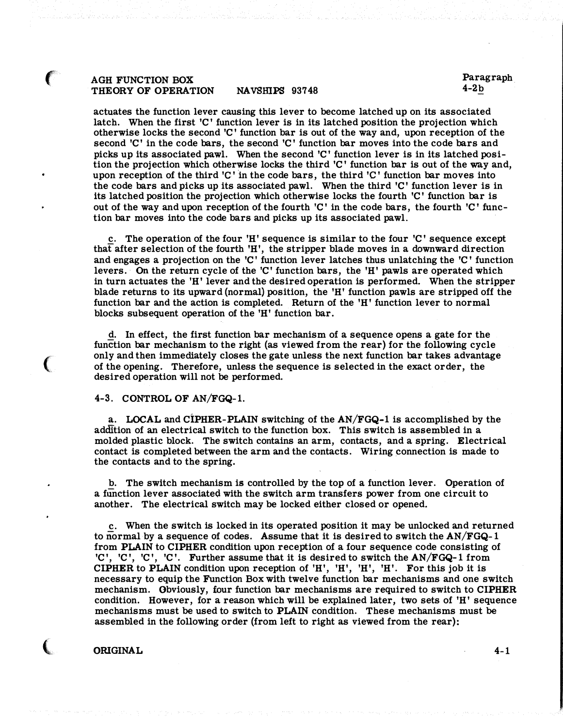## AGH FUNCTION BOX THEORY OF OPERATION NAVSHIPS 93748

 $\epsilon$ 

 $\big($ 

 $\big($ 

actuates the function lever causing this lever to become latched up on its associated latch. When the first  $C'$  function lever is in its latched position the projection which otherwise locks the second  $C'$  function bar is out of the way and, upon reception of the second  $C'$  in the code bars, the second  $C'$  function bar moves into the code bars and picks up its associated pawl. When the second 'C' function lever is in its latched position the projection which otherwise locks the third 'C' function bar is out of the way and, upon reception of the third  $C'$  in the code bars, the third  $C'$  function bar moves into the code bars and picks up its associated pawl. When the third  $\mathcal{C}'$  function lever is in its latched position the projection which otherwise locks the fourth 'C' function bar is out of the way and upon reception of the fourth  $'C'$  in the code bars, the fourth  $'C'$  function bar moves into the code bars and picks up its associated pawl.

c. The operation of the four  $'H$  sequence is similar to the four  $'C'$  sequence except that after selection of the fourth  $'H'$ , the stripper blade moves in a downward direction and engages a projection on the 'C' function lever latches thus unlatching the 'C' function levers. On the return cycle of the 'C' function bars, the 'H' pawls are operated which in turn actuates the 'H' lever and the desired operation is performed. When the stripper blade returns to its upward (normal) position, the 1H' function pawls are stripped off the function bar and the action is completed. Return of the 1H' function lever to normal blocks subsequent operation of the 'H' function bar.

d. In effect, the first function bar mechanism of a sequence opens a gate for the function bar mechanism to the right (as viewed from the rear) for the following cycle only and then immediately closes the gate unless the next function bar takes advantage of the opening. Therefore, unless the sequence is selected in the exact order, the desired operation will not be performed.

### 4-3. CONTROL OF AN/FGQ-1.

a. LOCAL and CIPHER-PLAIN switching of the AN/FGQ-1 is accomplished by the addition of an electrical switch to the function box. This switch is assembled in a molded plastic block. The switch contains an arm, contacts, and a spring. Electrical contact is completed between the arm and the contacts. Wiring connection is made to the contacts and to the spring.

b. The switch mechanism is controlled by the top of a function lever. Operation of a function lever associated with the switch arm transfers power from one circuit to another. The electrical switch may be locked either closed or opened.

c. When the switch is locked in its operated position it may be unlocked and returned to normal by a sequence of codes. Assume that it is desired to switch the AN/FGQ-1 from PLAIN to CIPHER condition upon reception of a four sequence code consisting of 'C', 'C', 'C'. Further assume that it is desired to switch the  $AN/FGQ-1$  from CIPHER to PLAIN condition upon reception of 'H', 'H', 'H', 'H'. For this job it is necessary to equip the Function Box with twelve function bar mechanisms and one switch mechanism. Obviously, four function bar mechanisms are required to switch to CIPHER condition. However, for a reason which will be explained later, two sets of  $'H'$  sequence mechanisms must be used to switch to PLAIN condition. These mechanisms must be assembled in the following order (from left to right as viewed from the rear):

### ORIGINAL 4-1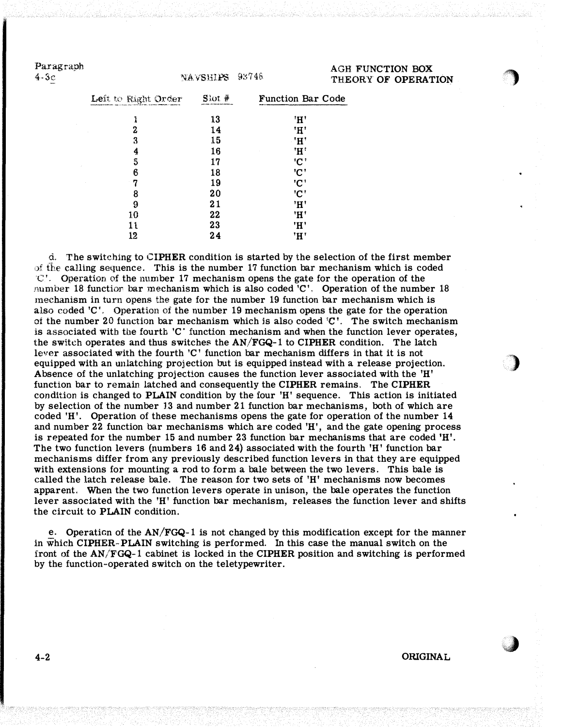Paragraph

4-3c :>.�AVSHD?S 9:�74&

AGH FUNCTION BOX THEORY OF OPERATION

 $\bigcirc$ 

···.). j

 $\bigcirc$ 

| Left to Right Order<br>1<br>2<br>3 | $\text{S}$ ot # | <b>Function Bar Code</b>  |
|------------------------------------|-----------------|---------------------------|
|                                    | 13              | 'H'                       |
|                                    | 14              | 'H'                       |
|                                    | 15              | 'H'                       |
| 4                                  | 16              | 'Н'                       |
| 5                                  | 17              | 'C'                       |
| 6                                  | 18              | 'C'                       |
| 7                                  | 19              | 'C'                       |
| 8                                  | 20              | $^{\prime}$ C $^{\prime}$ |
| 9                                  | 21              | 'H'                       |
| 10                                 | 22              | 'H'                       |
| 11                                 | 23              | 'H'                       |
| 12                                 | 24              | 'H'                       |

d. The switching to CIPHER condition is started by the selection of the first member >)f fhe calling sequence. This is the number 17 function bar meehanism which is coded  $\mathbb{C}'$ . Operation of the number 17 mechanism opens the gate for the operation of the number 18 functior bar mechanism which is also coded 'C'. Operation of the number 18 mechanism in turn opens the gate for the number 19 function bar mechanism which is also eoded 'C ', Operation of the number 19 mechanism opens the gate for the operation of the number 20 function bar mechanism which is also coded  $C'$ . The switch mechanism is associated with the fourth 'C · function mechanism and when the function lever operates, the switch operates and thus switches the  $AN/FGQ-1$  to CIPHER condition. The latch lever associated with the fourth 'C' function bar mechanism differs in that it is not equipped with an w1latching projection but is equipped instead with a release projection. Absence of the unlatching projection causes the function lever associated with the 'H' function bar to remain latched and consequently the CIPHER remains. The CIPHER condition is changed to PLAIN condition by the four 'H' sequence. This action is initiated by selection of the number 13 and number 21 function bar mechanisms, both of which are coded 'H'. Operation of these mechanisms opens the gate for operation of the number 14 and number 22 function bar mechanisms which are coded 'H', and the gate opening process is repeated for the number 15 and number 23 function bar mechanisms that are coded 'H'. The two function levers (numbers 16 and 24) associated with the fourth 'H' function bar mechanisms differ from any previously described function levers in that they are equipped with extensions for mounting a rod to form a bale between the two levers. This bale is called the latch release bale. The reason for two sets of 'H' mechanisms now becomes apparent. When the two function levers operate in unison, the bale operates the function lever associated with the 'H' function bar mechanism, releases the function lever and shifts the circuit to PLAIN condition.

e. Operation of the AN/FGQ-1 is not changed by this modification except for the manner in which CIPHER-PLAIN switching is performed. In this case the manual switch on the front of the AN/FGQ-1 cabinet is locked in the CIPHER position and switching is performed by the function-operated switch on the teletypewriter.

4-2 ORIGINAL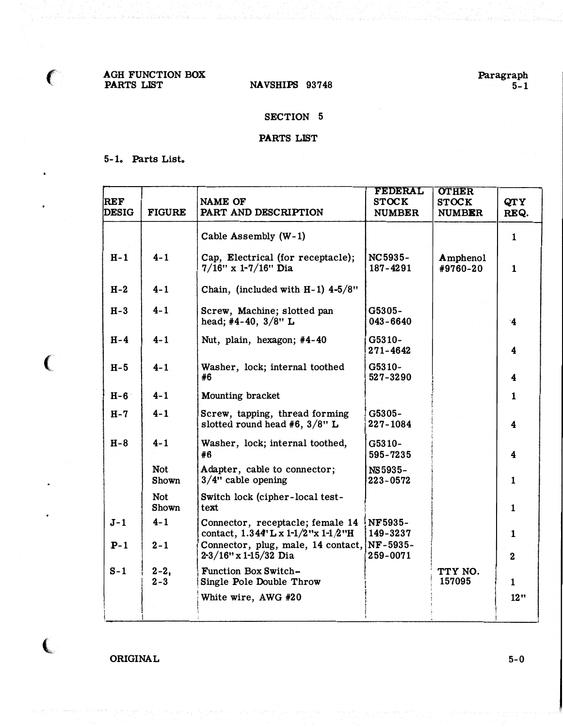AGH FUNCTION BOX PARTS LIST NAVSHIPS 93748

 $\epsilon$ 

 $\big($ 

 $\overline{\mathbf{C}}$ 

## SECTION 5

## PARTS LIST

## 5-1. Parts List.

| <b>REF</b><br><b>DESIG</b> | <b>FIGURE</b>       | <b>NAME OF</b><br>PART AND DESCRIPTION                                        | <b>FEDERAL</b><br><b>STOCK</b><br><b>NUMBER</b> | <b>OTHER</b><br><b>STOCK</b><br><b>NUMBER</b> | QTY<br>REQ.             |
|----------------------------|---------------------|-------------------------------------------------------------------------------|-------------------------------------------------|-----------------------------------------------|-------------------------|
|                            |                     | Cable Assembly (W-1)                                                          |                                                 |                                               | $\mathbf{1}$            |
| $H - 1$                    | $4 - 1$             | Cap, Electrical (for receptacle);<br>$7/16$ " x 1-7/16" Dia                   | NC5935-<br>187-4291                             | Amphenol<br>#9760-20                          | $\mathbf{1}$            |
| $H-2$                      | $4 - 1$             | Chain, (included with $H-1$ ) 4-5/8"                                          |                                                 |                                               |                         |
| $H-3$                      | $4 - 1$             | Screw, Machine; slotted pan<br>head; #4-40, $3/8$ " L                         | G5305-<br>$043 - 6640$                          |                                               | $\cdot$ 4               |
| $H-4$                      | $4 - 1$             | Nut, plain, hexagon; #4-40                                                    | G5310-<br>271-4642                              |                                               | 4                       |
| $H-5$                      | $4 - 1$             | Washer, lock; internal toothed<br>#6                                          | G5310-<br>527-3290                              |                                               | $\overline{\mathbf{4}}$ |
| $H-6$                      | $4 - 1$             | Mounting bracket                                                              |                                                 |                                               | 1                       |
| $H - 7$                    | $4 - 1$             | Screw, tapping, thread forming<br>slotted round head #6, $3/8$ " L            | G5305-<br>227-1084                              |                                               | $\overline{\mathbf{4}}$ |
| $H-8$                      | $4 - 1$             | Washer, lock; internal toothed,<br>#6                                         | G5310-<br>595-7235                              |                                               | 4                       |
|                            | <b>Not</b><br>Shown | Adapter, cable to connector;<br>$3/4$ " cable opening                         | NS5935-<br>223-0572                             |                                               | $\mathbf{1}$            |
|                            | <b>Not</b><br>Shown | Switch lock (cipher-local test-<br>text                                       |                                                 |                                               | $\mathbf{1}$            |
| $J-1$                      | $4 - 1$             | Connector, receptacle; female 14<br>contact, $1.344' L x 1-1/2'' x 1-1/2'' H$ | NF5935-<br>149-3237                             |                                               | $\mathbf{1}$            |
| $P-1$                      | $2 - 1$             | Connector, plug, male, 14 contact, NF-5935-<br>$2-3/16$ " x 1-15/32 Dia       | 259-0071                                        |                                               | $\bf{2}$                |
| $S-1$                      | $2 - 2,$<br>$2 - 3$ | Function Box Switch-<br>Single Pole Double Throw                              |                                                 | TTY NO.<br>157095                             | $\mathbf{1}$            |
|                            |                     | White wire, AWG #20                                                           |                                                 |                                               | 12"                     |

ORIGINAL 5-0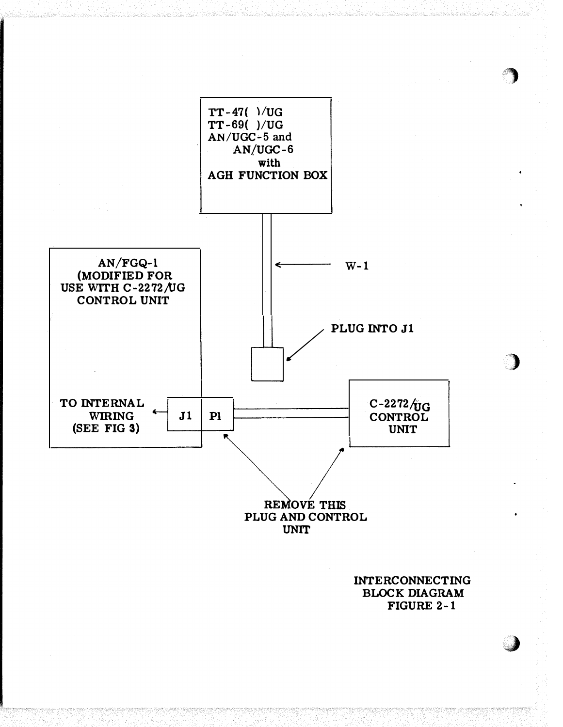

INTERCONNECTING BLOCK DIAGRAM FIGURE 2-1

J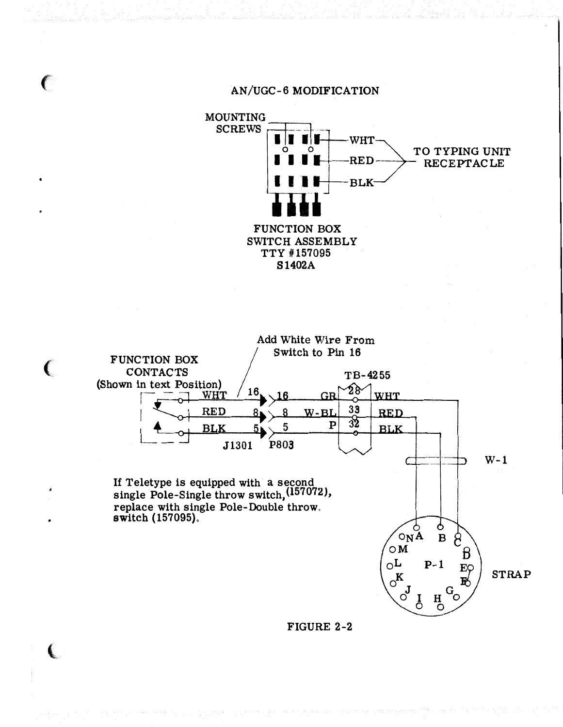

FIGURE 2-2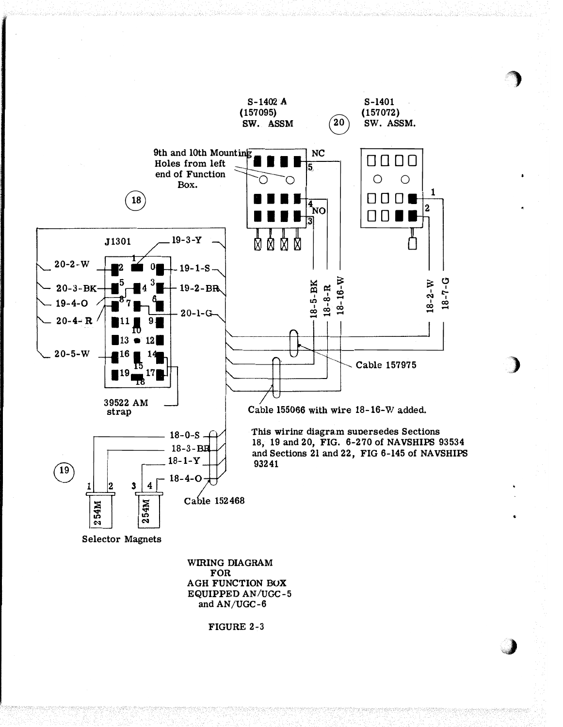

**FOR** AGH FUNCTION BOX EQUIPPED AN/UGC-5 and AN/UGC-6

FIGURE 2-3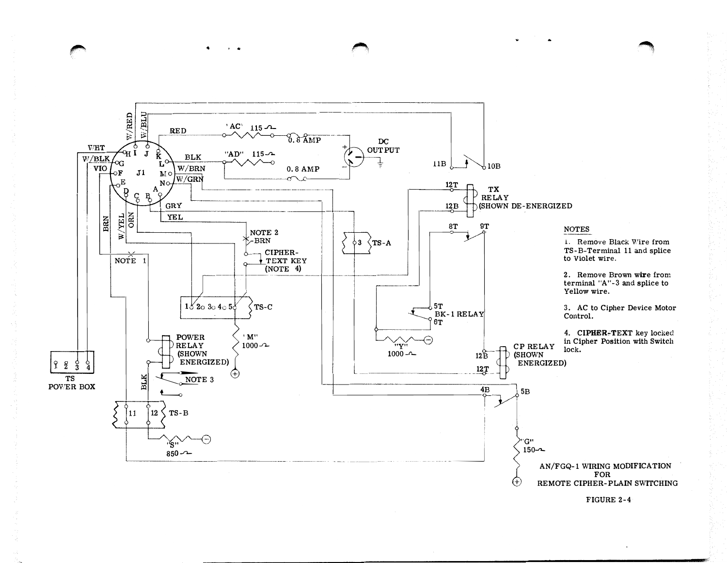

FIGURE 2-4

 $\bullet$